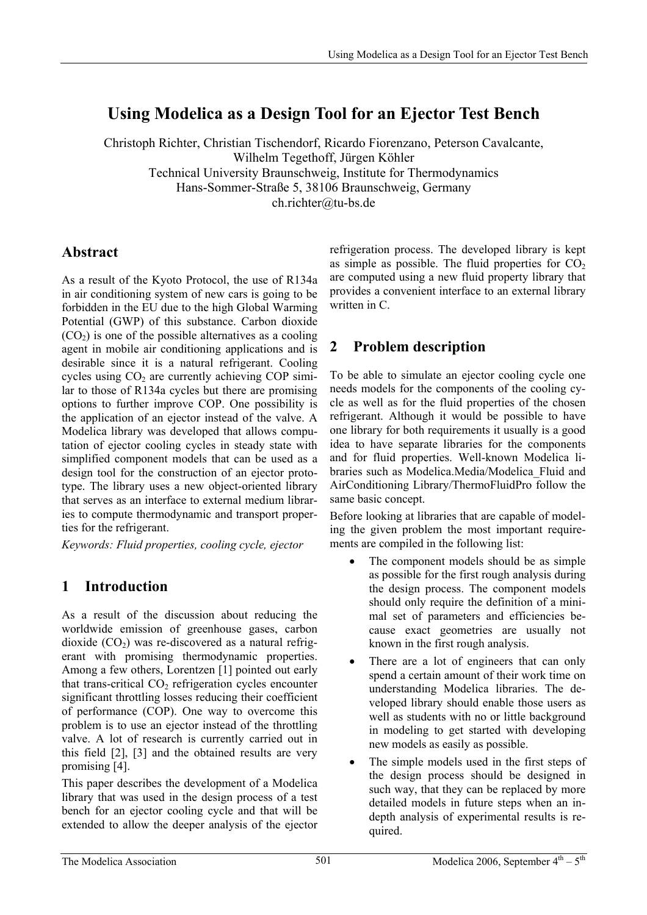# **Using Modelica as a Design Tool for an Ejector Test Bench**

Christoph Richter, Christian Tischendorf, Ricardo Fiorenzano, Peterson Cavalcante, Wilhelm Tegethoff, Jürgen Köhler Technical University Braunschweig, Institute for Thermodynamics Hans-Sommer-Straße 5, 38106 Braunschweig, Germany ch.richter@tu-bs.de

### **Abstract**

As a result of the Kyoto Protocol, the use of R134a in air conditioning system of new cars is going to be forbidden in the EU due to the high Global Warming Potential (GWP) of this substance. Carbon dioxide  $(CO<sub>2</sub>)$  is one of the possible alternatives as a cooling agent in mobile air conditioning applications and is desirable since it is a natural refrigerant. Cooling cycles using  $CO<sub>2</sub>$  are currently achieving  $COP$  similar to those of R134a cycles but there are promising options to further improve COP. One possibility is the application of an ejector instead of the valve. A Modelica library was developed that allows computation of ejector cooling cycles in steady state with simplified component models that can be used as a design tool for the construction of an ejector prototype. The library uses a new object-oriented library that serves as an interface to external medium libraries to compute thermodynamic and transport properties for the refrigerant.

*Keywords: Fluid properties, cooling cycle, ejector* 

## **1 Introduction**

As a result of the discussion about reducing the worldwide emission of greenhouse gases, carbon dioxide  $(CO<sub>2</sub>)$  was re-discovered as a natural refrigerant with promising thermodynamic properties. Among a few others, Lorentzen [1] pointed out early that trans-critical  $CO<sub>2</sub>$  refrigeration cycles encounter significant throttling losses reducing their coefficient of performance (COP). One way to overcome this problem is to use an ejector instead of the throttling valve. A lot of research is currently carried out in this field [2], [3] and the obtained results are very promising [4].

This paper describes the development of a Modelica library that was used in the design process of a test bench for an ejector cooling cycle and that will be extended to allow the deeper analysis of the ejector

refrigeration process. The developed library is kept as simple as possible. The fluid properties for  $CO<sub>2</sub>$ are computed using a new fluid property library that provides a convenient interface to an external library written in C.

# **2 Problem description**

To be able to simulate an ejector cooling cycle one needs models for the components of the cooling cycle as well as for the fluid properties of the chosen refrigerant. Although it would be possible to have one library for both requirements it usually is a good idea to have separate libraries for the components and for fluid properties. Well-known Modelica libraries such as Modelica.Media/Modelica\_Fluid and AirConditioning Library/ThermoFluidPro follow the same basic concept.

Before looking at libraries that are capable of modeling the given problem the most important requirements are compiled in the following list:

- The component models should be as simple as possible for the first rough analysis during the design process. The component models should only require the definition of a minimal set of parameters and efficiencies because exact geometries are usually not known in the first rough analysis.
- There are a lot of engineers that can only spend a certain amount of their work time on understanding Modelica libraries. The developed library should enable those users as well as students with no or little background in modeling to get started with developing new models as easily as possible.
- The simple models used in the first steps of the design process should be designed in such way, that they can be replaced by more detailed models in future steps when an indepth analysis of experimental results is required.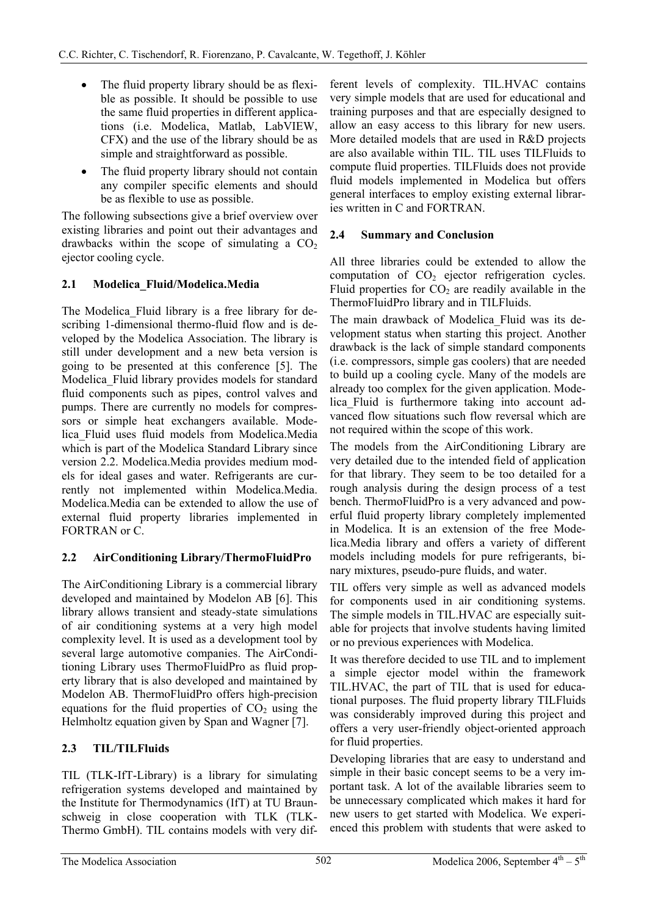- The fluid property library should be as flexible as possible. It should be possible to use the same fluid properties in different applications (i.e. Modelica, Matlab, LabVIEW, CFX) and the use of the library should be as simple and straightforward as possible.
- The fluid property library should not contain any compiler specific elements and should be as flexible to use as possible.

The following subsections give a brief overview over existing libraries and point out their advantages and drawbacks within the scope of simulating a  $CO<sub>2</sub>$ ejector cooling cycle.

### **2.1 Modelica\_Fluid/Modelica.Media**

The Modelica\_Fluid library is a free library for describing 1-dimensional thermo-fluid flow and is developed by the Modelica Association. The library is still under development and a new beta version is going to be presented at this conference [5]. The Modelica\_Fluid library provides models for standard fluid components such as pipes, control valves and pumps. There are currently no models for compressors or simple heat exchangers available. Modelica\_Fluid uses fluid models from Modelica.Media which is part of the Modelica Standard Library since version 2.2. Modelica.Media provides medium models for ideal gases and water. Refrigerants are currently not implemented within Modelica.Media. Modelica.Media can be extended to allow the use of external fluid property libraries implemented in FORTRAN or C.

### **2.2 AirConditioning Library/ThermoFluidPro**

The AirConditioning Library is a commercial library developed and maintained by Modelon AB [6]. This library allows transient and steady-state simulations of air conditioning systems at a very high model complexity level. It is used as a development tool by several large automotive companies. The AirConditioning Library uses ThermoFluidPro as fluid property library that is also developed and maintained by Modelon AB. ThermoFluidPro offers high-precision equations for the fluid properties of  $CO<sub>2</sub>$  using the Helmholtz equation given by Span and Wagner [7].

### **2.3 TIL/TILFluids**

TIL (TLK-IfT-Library) is a library for simulating refrigeration systems developed and maintained by the Institute for Thermodynamics (IfT) at TU Braunschweig in close cooperation with TLK (TLK-Thermo GmbH). TIL contains models with very different levels of complexity. TIL.HVAC contains very simple models that are used for educational and training purposes and that are especially designed to allow an easy access to this library for new users. More detailed models that are used in R&D projects are also available within TIL. TIL uses TILFluids to compute fluid properties. TILFluids does not provide fluid models implemented in Modelica but offers general interfaces to employ existing external libraries written in C and FORTRAN.

### **2.4 Summary and Conclusion**

All three libraries could be extended to allow the computation of  $CO<sub>2</sub>$  ejector refrigeration cycles. Fluid properties for  $CO<sub>2</sub>$  are readily available in the ThermoFluidPro library and in TILFluids.

The main drawback of Modelica\_Fluid was its development status when starting this project. Another drawback is the lack of simple standard components (i.e. compressors, simple gas coolers) that are needed to build up a cooling cycle. Many of the models are already too complex for the given application. Modelica\_Fluid is furthermore taking into account advanced flow situations such flow reversal which are not required within the scope of this work.

The models from the AirConditioning Library are very detailed due to the intended field of application for that library. They seem to be too detailed for a rough analysis during the design process of a test bench. ThermoFluidPro is a very advanced and powerful fluid property library completely implemented in Modelica. It is an extension of the free Modelica.Media library and offers a variety of different models including models for pure refrigerants, binary mixtures, pseudo-pure fluids, and water.

TIL offers very simple as well as advanced models for components used in air conditioning systems. The simple models in TIL.HVAC are especially suitable for projects that involve students having limited or no previous experiences with Modelica.

It was therefore decided to use TIL and to implement a simple ejector model within the framework TIL.HVAC, the part of TIL that is used for educational purposes. The fluid property library TILFluids was considerably improved during this project and offers a very user-friendly object-oriented approach for fluid properties.

Developing libraries that are easy to understand and simple in their basic concept seems to be a very important task. A lot of the available libraries seem to be unnecessary complicated which makes it hard for new users to get started with Modelica. We experienced this problem with students that were asked to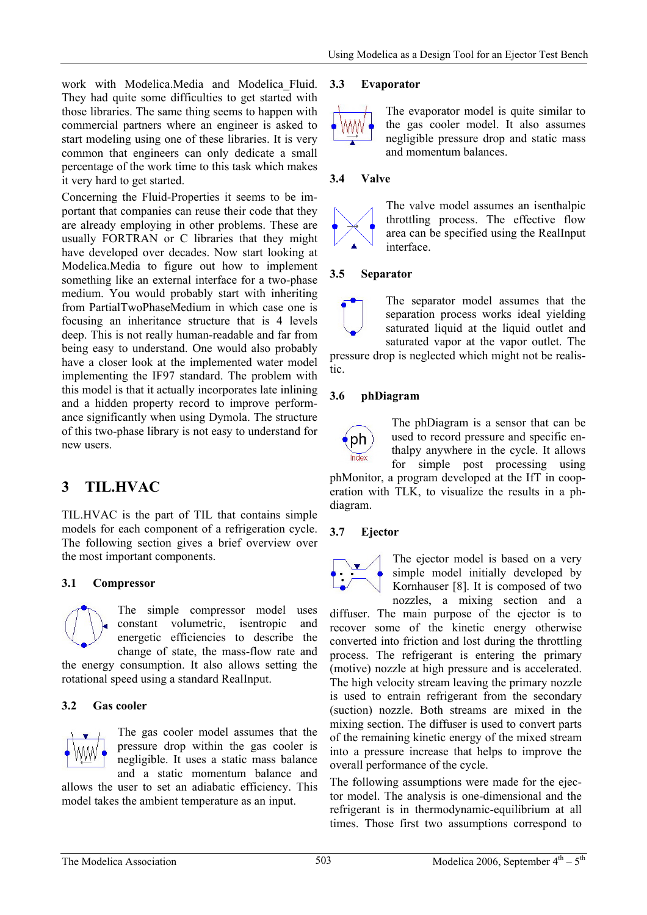work with Modelica.Media and Modelica\_Fluid. They had quite some difficulties to get started with those libraries. The same thing seems to happen with commercial partners where an engineer is asked to start modeling using one of these libraries. It is very common that engineers can only dedicate a small percentage of the work time to this task which makes it very hard to get started.

Concerning the Fluid-Properties it seems to be important that companies can reuse their code that they are already employing in other problems. These are usually FORTRAN or C libraries that they might have developed over decades. Now start looking at Modelica.Media to figure out how to implement something like an external interface for a two-phase medium. You would probably start with inheriting from PartialTwoPhaseMedium in which case one is focusing an inheritance structure that is 4 levels deep. This is not really human-readable and far from being easy to understand. One would also probably have a closer look at the implemented water model implementing the IF97 standard. The problem with this model is that it actually incorporates late inlining and a hidden property record to improve performance significantly when using Dymola. The structure of this two-phase library is not easy to understand for new users.

## **3 TIL.HVAC**

TIL.HVAC is the part of TIL that contains simple models for each component of a refrigeration cycle. The following section gives a brief overview over the most important components.

### **3.1 Compressor**



The simple compressor model uses constant volumetric, isentropic and energetic efficiencies to describe the change of state, the mass-flow rate and

the energy consumption. It also allows setting the rotational speed using a standard RealInput.

#### **3.2 Gas cooler**



The gas cooler model assumes that the pressure drop within the gas cooler is negligible. It uses a static mass balance and a static momentum balance and

allows the user to set an adiabatic efficiency. This model takes the ambient temperature as an input.

#### **3.3 Evaporator**



The evaporator model is quite similar to the gas cooler model. It also assumes negligible pressure drop and static mass and momentum balances.

#### **3.4 Valve**



The valve model assumes an isenthalpic throttling process. The effective flow area can be specified using the RealInput interface.

#### **3.5 Separator**



The separator model assumes that the separation process works ideal yielding saturated liquid at the liquid outlet and saturated vapor at the vapor outlet. The

pressure drop is neglected which might not be realistic.

#### **3.6 phDiagram**



The phDiagram is a sensor that can be used to record pressure and specific enthalpy anywhere in the cycle. It allows for simple post processing using

phMonitor, a program developed at the IfT in cooperation with TLK, to visualize the results in a phdiagram.

#### **3.7 Ejector**



The ejector model is based on a very simple model initially developed by Kornhauser [8]. It is composed of two nozzles, a mixing section and a

diffuser. The main purpose of the ejector is to recover some of the kinetic energy otherwise converted into friction and lost during the throttling process. The refrigerant is entering the primary (motive) nozzle at high pressure and is accelerated. The high velocity stream leaving the primary nozzle is used to entrain refrigerant from the secondary (suction) nozzle. Both streams are mixed in the mixing section. The diffuser is used to convert parts of the remaining kinetic energy of the mixed stream into a pressure increase that helps to improve the overall performance of the cycle.

The following assumptions were made for the ejector model. The analysis is one-dimensional and the refrigerant is in thermodynamic-equilibrium at all times. Those first two assumptions correspond to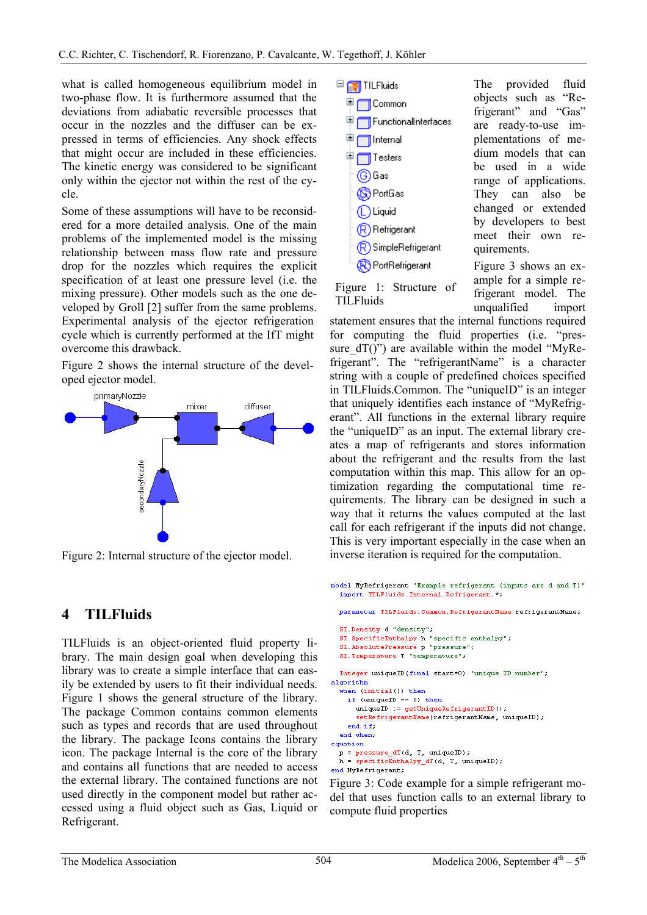what is called homogeneous equilibrium model in two-phase flow. It is furthermore assumed that the deviations from adiabatic reversible processes that occur in the nozzles and the diffuser can be expressed in terms of efficiencies. Any shock effects that might occur are included in these efficiencies. The kinetic energy was considered to be significant only within the ejector not within the rest of the cycle.

Some of these assumptions will have to be reconsidered for a more detailed analysis. One of the main problems of the implemented model is the missing relationship between mass flow rate and pressure drop for the nozzles which requires the explicit specification of at least one pressure level (i.e. the mixing pressure). Other models such as the one developed by Groll [2] suffer from the same problems. Experimental analysis of the ejector refrigeration cycle which is currently performed at the IfT might overcome this drawback.

Figure 2 shows the internal structure of the developed ejector model.



Figure 2: Internal structure of the ejector model.

## **4 TILFluids**

TILFluids is an object-oriented fluid property library. The main design goal when developing this library was to create a simple interface that can easily be extended by users to fit their individual needs. Figure 1 shows the general structure of the library. The package Common contains common elements such as types and records that are used throughout the library. The package Icons contains the library icon. The package Internal is the core of the library and contains all functions that are needed to access the external library. The contained functions are not used directly in the component model but rather accessed using a fluid object such as Gas, Liquid or Refrigerant.



Figure 1: Structure of

**TILFluids** 

quirements. Figure 3 shows an example for a simple refrigerant model. The unqualified import

statement ensures that the internal functions required for computing the fluid properties (i.e. "pressure\_dT()") are available within the model "MyRefrigerant". The "refrigerantName" is a character string with a couple of predefined choices specified in TILFluids.Common. The "uniqueID" is an integer that uniquely identifies each instance of "MyRefrigerant". All functions in the external library require the "uniqueID" as an input. The external library creates a map of refrigerants and stores information about the refrigerant and the results from the last computation within this map. This allow for an optimization regarding the computational time requirements. The library can be designed in such a way that it returns the values computed at the last call for each refrigerant if the inputs did not change. This is very important especially in the case when an inverse iteration is required for the computation.

```
model MyRefrigerant "Example refrigerant (inputs are d and T)"
  import TILFluids. Internal. Refrigerant. *;
  parameter TILFluids. Common. RefrigerantName refrigerantName:
  SI.Density d "density";
  SI. SpecificEnthalpy h "specific enthalpy";
  SI.AbsolutePressure p "pressure";
  SI. Temperature T "temperature";
  Integer uniqueID(final start=0) "unique ID number";
algorithm
  when (inital()) then
    if (uniqueID == 0) then
      uniquell := getUniqueRefrigerantID();
      setRefrigerantName(refrigerantName, uniqueID);
    end if.
  end when
equation
 p = pressure_dT(d, T, uniqueID);h = \texttt{specificEntropy\_dT(d, T, uniqueID)};end MyRefrigerant;
```
Figure 3: Code example for a simple refrigerant model that uses function calls to an external library to compute fluid properties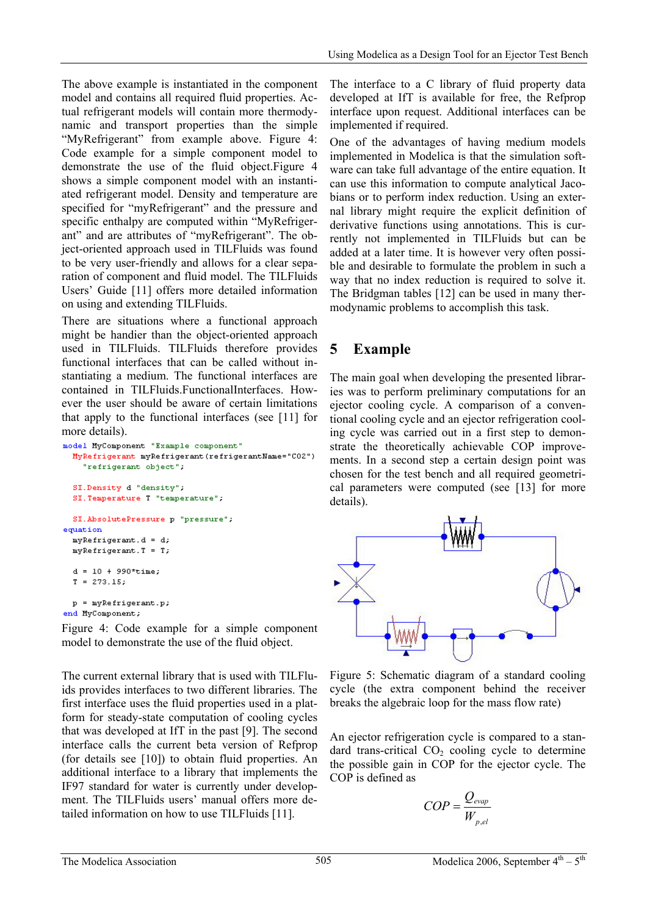The above example is instantiated in the component model and contains all required fluid properties. Actual refrigerant models will contain more thermodynamic and transport properties than the simple "MyRefrigerant" from example above. Figure 4: Code example for a simple component model to demonstrate the use of the fluid object.Figure 4 shows a simple component model with an instantiated refrigerant model. Density and temperature are specified for "myRefrigerant" and the pressure and specific enthalpy are computed within "MyRefrigerant" and are attributes of "myRefrigerant". The object-oriented approach used in TILFluids was found to be very user-friendly and allows for a clear separation of component and fluid model. The TILFluids Users' Guide [11] offers more detailed information on using and extending TILFluids.

There are situations where a functional approach might be handier than the object-oriented approach used in TILFluids. TILFluids therefore provides functional interfaces that can be called without instantiating a medium. The functional interfaces are contained in TILFluids.FunctionalInterfaces. However the user should be aware of certain limitations that apply to the functional interfaces (see [11] for more details).

```
model MyComponent "Example component"
 MyRefrigerant myRefrigerant (refrigerantName="CO2")
    "refrigerant object";
  SI. Density d "density";
 SI. Temperature T "temperature";
 SI. AbsolutePressure p "pressure";
equation
 myRefrigerant.d = d;myRefrigerant.T = T;d = 10 + 990*time:
 T = 273.15;p = myRefrigerant.py;end MyComponent;
```
Figure 4: Code example for a simple component model to demonstrate the use of the fluid object.

The current external library that is used with TILFluids provides interfaces to two different libraries. The first interface uses the fluid properties used in a platform for steady-state computation of cooling cycles that was developed at IfT in the past [9]. The second interface calls the current beta version of Refprop (for details see [10]) to obtain fluid properties. An additional interface to a library that implements the IF97 standard for water is currently under development. The TILFluids users' manual offers more detailed information on how to use TILFluids [11].

The interface to a C library of fluid property data developed at IfT is available for free, the Refprop interface upon request. Additional interfaces can be implemented if required.

One of the advantages of having medium models implemented in Modelica is that the simulation software can take full advantage of the entire equation. It can use this information to compute analytical Jacobians or to perform index reduction. Using an external library might require the explicit definition of derivative functions using annotations. This is currently not implemented in TILFluids but can be added at a later time. It is however very often possible and desirable to formulate the problem in such a way that no index reduction is required to solve it. The Bridgman tables [12] can be used in many thermodynamic problems to accomplish this task.

## **5 Example**

The main goal when developing the presented libraries was to perform preliminary computations for an ejector cooling cycle. A comparison of a conventional cooling cycle and an ejector refrigeration cooling cycle was carried out in a first step to demonstrate the theoretically achievable COP improvements. In a second step a certain design point was chosen for the test bench and all required geometrical parameters were computed (see [13] for more details).



Figure 5: Schematic diagram of a standard cooling cycle (the extra component behind the receiver breaks the algebraic loop for the mass flow rate)

An ejector refrigeration cycle is compared to a standard trans-critical  $CO<sub>2</sub>$  cooling cycle to determine the possible gain in COP for the ejector cycle. The COP is defined as

$$
COP = \frac{Q_{evap}}{W_{p,el}}
$$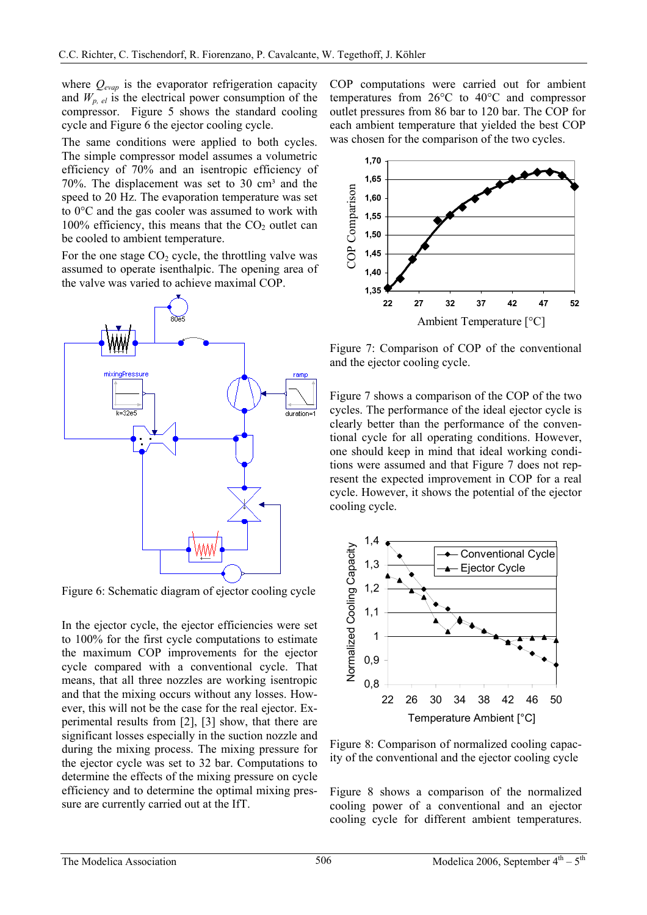where *Qevap* is the evaporator refrigeration capacity and  $W_{p,el}$  is the electrical power consumption of the compressor. Figure 5 shows the standard cooling cycle and Figure 6 the ejector cooling cycle.

The same conditions were applied to both cycles. The simple compressor model assumes a volumetric efficiency of 70% and an isentropic efficiency of 70%. The displacement was set to 30  $cm<sup>3</sup>$  and the speed to 20 Hz. The evaporation temperature was set to 0°C and the gas cooler was assumed to work with  $100\%$  efficiency, this means that the  $CO<sub>2</sub>$  outlet can be cooled to ambient temperature.

For the one stage  $CO<sub>2</sub>$  cycle, the throttling valve was assumed to operate isenthalpic. The opening area of the valve was varied to achieve maximal COP.



Figure 6: Schematic diagram of ejector cooling cycle

In the ejector cycle, the ejector efficiencies were set to 100% for the first cycle computations to estimate the maximum COP improvements for the ejector cycle compared with a conventional cycle. That means, that all three nozzles are working isentropic and that the mixing occurs without any losses. However, this will not be the case for the real ejector. Experimental results from [2], [3] show, that there are significant losses especially in the suction nozzle and during the mixing process. The mixing pressure for the ejector cycle was set to 32 bar. Computations to determine the effects of the mixing pressure on cycle efficiency and to determine the optimal mixing pressure are currently carried out at the IfT.

COP computations were carried out for ambient temperatures from 26°C to 40°C and compressor outlet pressures from 86 bar to 120 bar. The COP for each ambient temperature that yielded the best COP was chosen for the comparison of the two cycles.



Figure 7: Comparison of COP of the conventional and the ejector cooling cycle.

Figure 7 shows a comparison of the COP of the two cycles. The performance of the ideal ejector cycle is clearly better than the performance of the conventional cycle for all operating conditions. However, one should keep in mind that ideal working conditions were assumed and that Figure 7 does not represent the expected improvement in COP for a real cycle. However, it shows the potential of the ejector cooling cycle.



Figure 8: Comparison of normalized cooling capacity of the conventional and the ejector cooling cycle

Figure 8 shows a comparison of the normalized cooling power of a conventional and an ejector cooling cycle for different ambient temperatures.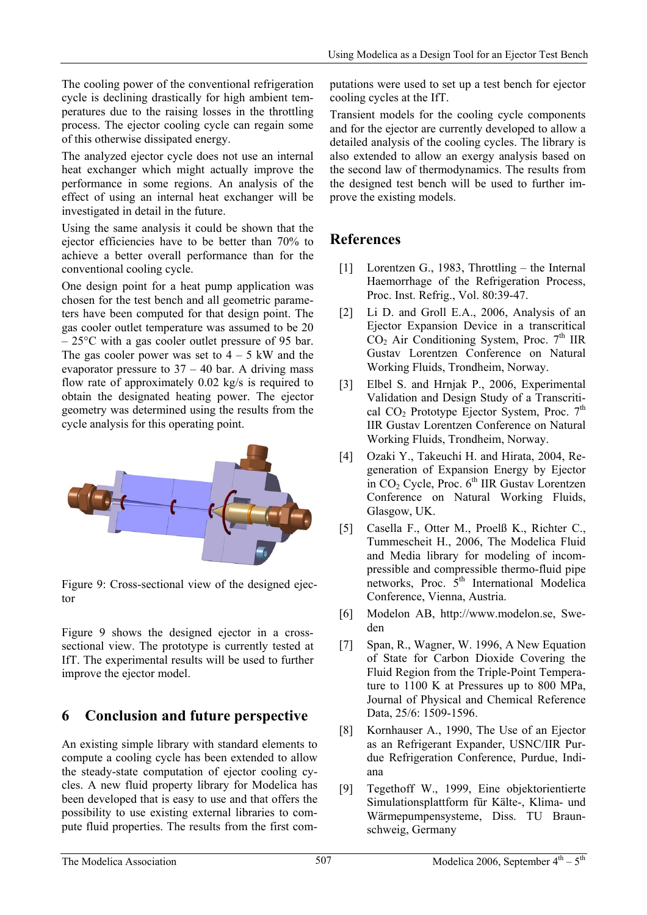The cooling power of the conventional refrigeration cycle is declining drastically for high ambient temperatures due to the raising losses in the throttling process. The ejector cooling cycle can regain some of this otherwise dissipated energy.

The analyzed ejector cycle does not use an internal heat exchanger which might actually improve the performance in some regions. An analysis of the effect of using an internal heat exchanger will be investigated in detail in the future.

Using the same analysis it could be shown that the ejector efficiencies have to be better than 70% to achieve a better overall performance than for the conventional cooling cycle.

One design point for a heat pump application was chosen for the test bench and all geometric parameters have been computed for that design point. The gas cooler outlet temperature was assumed to be 20 – 25°C with a gas cooler outlet pressure of 95 bar. The gas cooler power was set to  $4 - 5$  kW and the evaporator pressure to  $37 - 40$  bar. A driving mass flow rate of approximately 0.02 kg/s is required to obtain the designated heating power. The ejector geometry was determined using the results from the cycle analysis for this operating point.



Figure 9: Cross-sectional view of the designed ejector

Figure 9 shows the designed ejector in a crosssectional view. The prototype is currently tested at IfT. The experimental results will be used to further improve the ejector model.

## **6 Conclusion and future perspective**

An existing simple library with standard elements to compute a cooling cycle has been extended to allow the steady-state computation of ejector cooling cycles. A new fluid property library for Modelica has been developed that is easy to use and that offers the possibility to use existing external libraries to compute fluid properties. The results from the first computations were used to set up a test bench for ejector cooling cycles at the IfT.

Transient models for the cooling cycle components and for the ejector are currently developed to allow a detailed analysis of the cooling cycles. The library is also extended to allow an exergy analysis based on the second law of thermodynamics. The results from the designed test bench will be used to further improve the existing models.

## **References**

- [1] Lorentzen G., 1983, Throttling the Internal Haemorrhage of the Refrigeration Process, Proc. Inst. Refrig., Vol. 80:39-47.
- [2] Li D. and Groll E.A., 2006, Analysis of an Ejector Expansion Device in a transcritical  $CO<sub>2</sub>$  Air Conditioning System, Proc.  $7<sup>th</sup>$  IIR Gustav Lorentzen Conference on Natural Working Fluids, Trondheim, Norway.
- [3] Elbel S. and Hrnjak P., 2006, Experimental Validation and Design Study of a Transcritical  $CO<sub>2</sub>$  Prototype Ejector System, Proc.  $7<sup>th</sup>$ IIR Gustav Lorentzen Conference on Natural Working Fluids, Trondheim, Norway.
- [4] Ozaki Y., Takeuchi H. and Hirata, 2004, Regeneration of Expansion Energy by Ejector in  $CO<sub>2</sub>$  Cycle, Proc.  $6<sup>th</sup>$  IIR Gustav Lorentzen Conference on Natural Working Fluids, Glasgow, UK.
- [5] Casella F., Otter M., Proelß K., Richter C., Tummescheit H., 2006, The Modelica Fluid and Media library for modeling of incompressible and compressible thermo-fluid pipe networks, Proc.  $\hat{5}^{th}$  International Modelica Conference, Vienna, Austria.
- [6] Modelon AB, http://www.modelon.se, Sweden
- [7] Span, R., Wagner, W. 1996, A New Equation of State for Carbon Dioxide Covering the Fluid Region from the Triple-Point Temperature to 1100 K at Pressures up to 800 MPa, Journal of Physical and Chemical Reference Data, 25/6: 1509-1596.
- [8] Kornhauser A., 1990, The Use of an Ejector as an Refrigerant Expander, USNC/IIR Purdue Refrigeration Conference, Purdue, Indiana
- [9] Tegethoff W., 1999, Eine objektorientierte Simulationsplattform für Kälte-, Klima- und Wärmepumpensysteme, Diss. TU Braunschweig, Germany